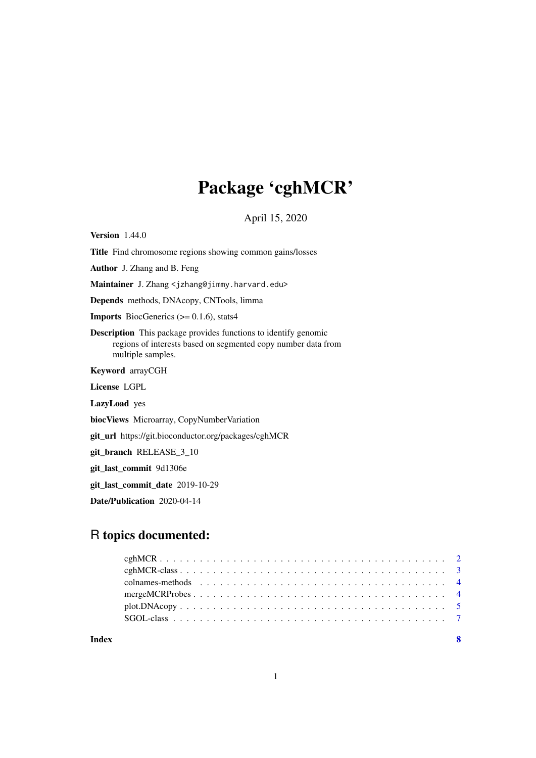## Package 'cghMCR'

April 15, 2020

Version 1.44.0

Title Find chromosome regions showing common gains/losses

Author J. Zhang and B. Feng

Maintainer J. Zhang <jzhang@jimmy.harvard.edu>

Depends methods, DNAcopy, CNTools, limma

**Imports** BiocGenerics  $(>= 0.1.6)$ , stats4

Description This package provides functions to identify genomic regions of interests based on segmented copy number data from multiple samples.

Keyword arrayCGH

License LGPL

LazyLoad yes

biocViews Microarray, CopyNumberVariation

git\_url https://git.bioconductor.org/packages/cghMCR

git branch RELEASE 3 10

git last commit 9d1306e

git\_last\_commit\_date 2019-10-29

Date/Publication 2020-04-14

### R topics documented:

| $plot.DNAcopy \ldots \ldots \ldots \ldots \ldots \ldots \ldots \ldots \ldots \ldots \ldots \ldots \ldots 5$ |  |
|-------------------------------------------------------------------------------------------------------------|--|
|                                                                                                             |  |
|                                                                                                             |  |

**Index** [8](#page-7-0) **8**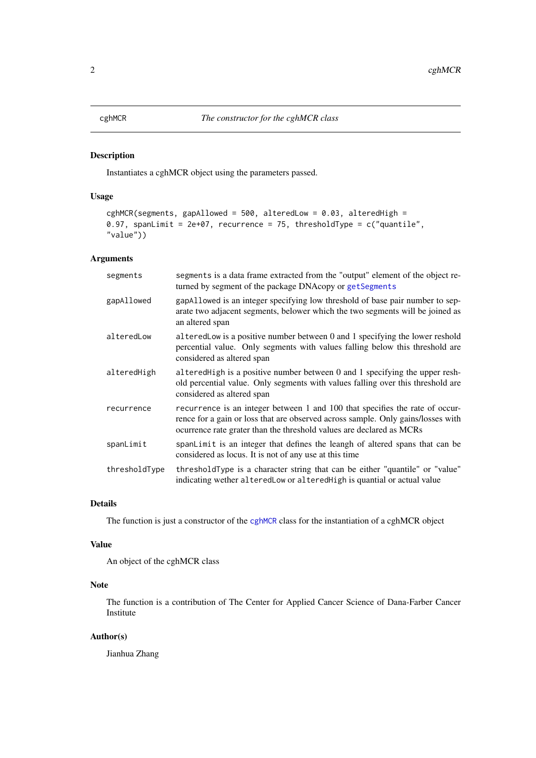<span id="page-1-1"></span><span id="page-1-0"></span>

#### Description

Instantiates a cghMCR object using the parameters passed.

#### Usage

```
cghMCR(segments, gapAllowed = 500, alteredLow = 0.03, alteredHigh =
0.97, spanLimit = 2e+07, recurrence = 75, thresholdType = c("quantile","value"))
```
#### Arguments

| segments      | segments is a data frame extracted from the "output" element of the object re-<br>turned by segment of the package DNAcopy or getSegments                                                                                                |
|---------------|------------------------------------------------------------------------------------------------------------------------------------------------------------------------------------------------------------------------------------------|
| gapAllowed    | gapAllowed is an integer specifying low threshold of base pair number to sep-<br>arate two adjacent segments, belower which the two segments will be joined as<br>an altered span                                                        |
| alteredLow    | altered Low is a positive number between $0$ and $1$ specifying the lower reshold<br>percential value. Only segments with values falling below this threshold are<br>considered as altered span                                          |
| alteredHigh   | altered High is a positive number between 0 and 1 specifying the upper resh-<br>old percential value. Only segments with values falling over this threshold are<br>considered as altered span                                            |
| recurrence    | recurrence is an integer between 1 and 100 that specifies the rate of occur-<br>rence for a gain or loss that are observed across sample. Only gains/losses with<br>ocurrence rate grater than the threshold values are declared as MCRs |
| spanLimit     | spanlimit is an integer that defines the leangh of altered spans that can be<br>considered as locus. It is not of any use at this time                                                                                                   |
| thresholdType | threshold Type is a character string that can be either "quantile" or "value"<br>indicating wether altered Low or altered High is quantial or actual value                                                                               |

#### Details

The function is just a constructor of the [cghMCR](#page-1-1) class for the instantiation of a cghMCR object

#### Value

An object of the cghMCR class

#### Note

The function is a contribution of The Center for Applied Cancer Science of Dana-Farber Cancer Institute

#### Author(s)

Jianhua Zhang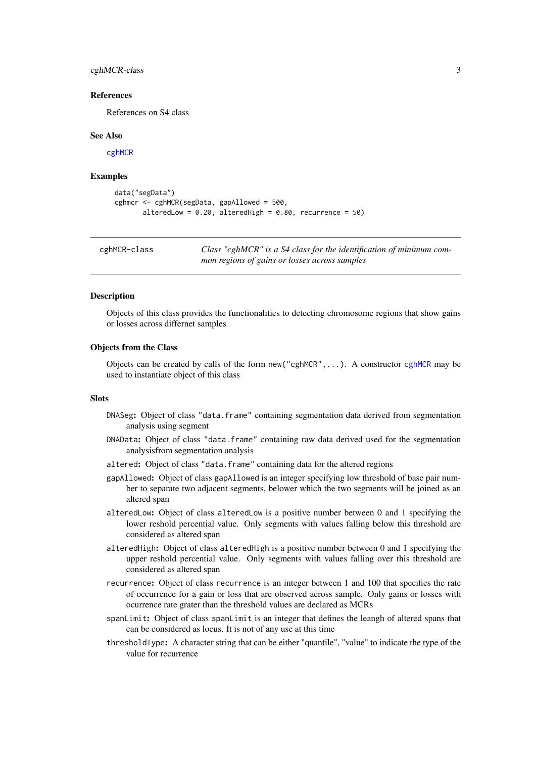#### <span id="page-2-0"></span>cghMCR-class 3

#### References

References on S4 class

#### See Also

[cghMCR](#page-1-1)

#### Examples

```
data("segData")
cghmcr <- cghMCR(segData, gapAllowed = 500,
       alteredLow = 0.20, alteredHigh = 0.80, recurrence = 50)
```
cghMCR-class *Class "cghMCR" is a S4 class for the identification of minimum common regions of gains or losses across samples*

#### <span id="page-2-1"></span>Description

Objects of this class provides the functionalities to detecting chromosome regions that show gains or losses across differnet samples

#### Objects from the Class

Objects can be created by calls of the form  $new("cghMCR", \ldots)$  $new("cghMCR", \ldots)$  $new("cghMCR", \ldots)$ . A constructor cghMCR may be used to instantiate object of this class

#### Slots

- DNASeg: Object of class "data.frame" containing segmentation data derived from segmentation analysis using segment
- DNAData: Object of class "data.frame" containing raw data derived used for the segmentation analysisfrom segmentation analysis
- altered: Object of class "data.frame" containing data for the altered regions
- gapAllowed: Object of class gapAllowed is an integer specifying low threshold of base pair number to separate two adjacent segments, belower which the two segments will be joined as an altered span
- alteredLow: Object of class alteredLow is a positive number between 0 and 1 specifying the lower reshold percential value. Only segments with values falling below this threshold are considered as altered span
- alteredHigh: Object of class alteredHigh is a positive number between 0 and 1 specifying the upper reshold percential value. Only segments with values falling over this threshold are considered as altered span
- recurrence: Object of class recurrence is an integer between 1 and 100 that specifies the rate of occurrence for a gain or loss that are observed across sample. Only gains or losses with ocurrence rate grater than the threshold values are declared as MCRs
- spanLimit: Object of class spanLimit is an integer that defines the leangh of altered spans that can be considered as locus. It is not of any use at this time
- thresholdType: A character string that can be either "quantile", "value" to indicate the type of the value for recurrence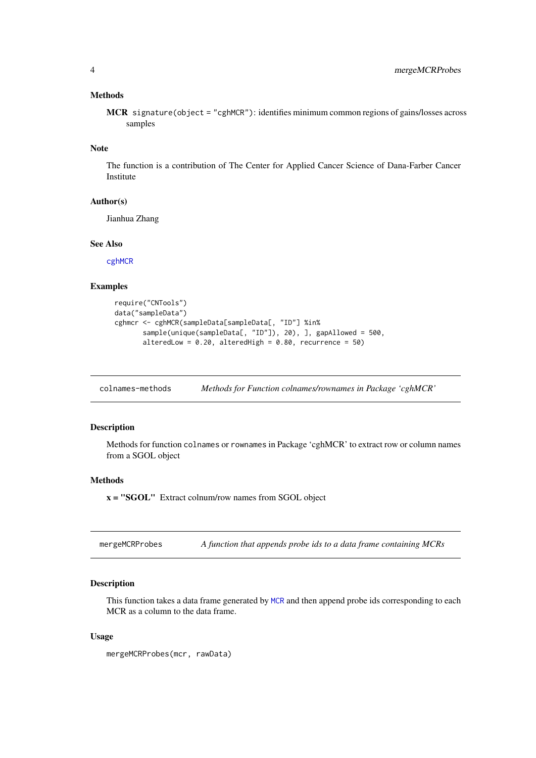#### <span id="page-3-0"></span>Methods

MCR signature(object = "cghMCR"): identifies minimum common regions of gains/losses across samples

#### Note

The function is a contribution of The Center for Applied Cancer Science of Dana-Farber Cancer Institute

#### Author(s)

Jianhua Zhang

#### See Also

[cghMCR](#page-1-1)

#### Examples

```
require("CNTools")
data("sampleData")
cghmcr <- cghMCR(sampleData[sampleData[, "ID"] %in%
      sample(unique(sampleData[, "ID"]), 20), ], gapAllowed = 500,
       alteredLow = 0.20, alteredHigh = 0.80, recurrence = 50)
```
colnames-methods *Methods for Function colnames/rownames in Package 'cghMCR'*

#### Description

Methods for function colnames or rownames in Package 'cghMCR' to extract row or column names from a SGOL object

#### Methods

x = "SGOL" Extract colnum/row names from SGOL object

mergeMCRProbes *A function that appends probe ids to a data frame containing MCRs*

#### Description

This function takes a data frame generated by [MCR](#page-2-1) and then append probe ids corresponding to each MCR as a column to the data frame.

#### Usage

```
mergeMCRProbes(mcr, rawData)
```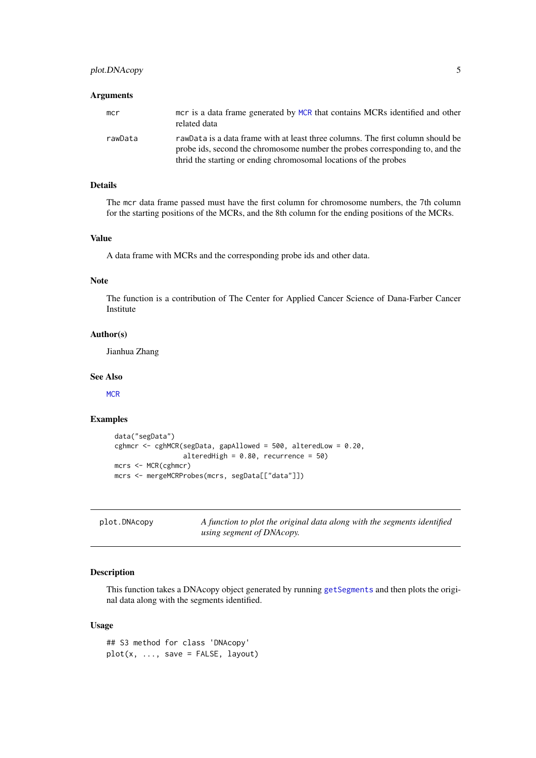#### <span id="page-4-0"></span>Arguments

| mcr     | mor is a data frame generated by MCR that contains MCRs identified and other<br>related data                                                                                                                                        |
|---------|-------------------------------------------------------------------------------------------------------------------------------------------------------------------------------------------------------------------------------------|
| rawData | rawData is a data frame with at least three columns. The first column should be<br>probe ids, second the chromosome number the probes corresponding to, and the<br>thrid the starting or ending chromosomal locations of the probes |

#### Details

The mcr data frame passed must have the first column for chromosome numbers, the 7th column for the starting positions of the MCRs, and the 8th column for the ending positions of the MCRs.

#### Value

A data frame with MCRs and the corresponding probe ids and other data.

#### Note

The function is a contribution of The Center for Applied Cancer Science of Dana-Farber Cancer Institute

#### Author(s)

Jianhua Zhang

#### See Also

**[MCR](#page-2-1)** 

#### Examples

```
data("segData")
cghmcr <- cghMCR(segData, gapAllowed = 500, alteredLow = 0.20,
                 alteredHigh = 0.80, recurrence = 50)
mcrs <- MCR(cghmcr)
mcrs <- mergeMCRProbes(mcrs, segData[["data"]])
```
plot.DNAcopy *A function to plot the original data along with the segments identified using segment of DNAcopy.*

#### Description

This function takes a DNAcopy object generated by running [getSegments](#page-2-1) and then plots the original data along with the segments identified.

#### Usage

## S3 method for class 'DNAcopy' plot(x, ..., save = FALSE, layout)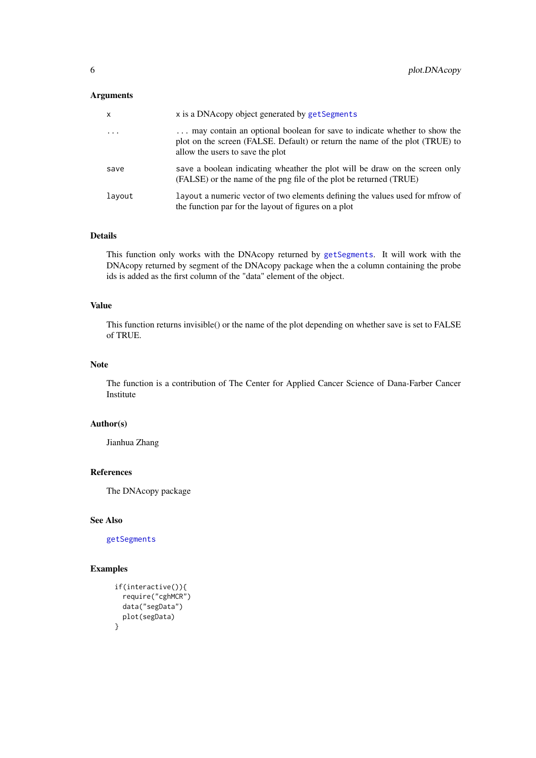#### <span id="page-5-0"></span>Arguments

| x        | x is a DNAcopy object generated by getSegments                                                                                                                                               |
|----------|----------------------------------------------------------------------------------------------------------------------------------------------------------------------------------------------|
| $\ddots$ | may contain an optional boolean for save to indicate whether to show the<br>plot on the screen (FALSE. Default) or return the name of the plot (TRUE) to<br>allow the users to save the plot |
| save     | save a boolean indicating wheather the plot will be draw on the screen only<br>(FALSE) or the name of the png file of the plot be returned (TRUE)                                            |
| layout   | layout a numeric vector of two elements defining the values used for mfrow of<br>the function par for the layout of figures on a plot                                                        |

#### Details

This function only works with the DNAcopy returned by [getSegments](#page-2-1). It will work with the DNAcopy returned by segment of the DNAcopy package when the a column containing the probe ids is added as the first column of the "data" element of the object.

#### Value

This function returns invisible() or the name of the plot depending on whether save is set to FALSE of TRUE.

#### Note

The function is a contribution of The Center for Applied Cancer Science of Dana-Farber Cancer Institute

#### Author(s)

Jianhua Zhang

#### References

The DNAcopy package

#### See Also

[getSegments](#page-2-1)

#### Examples

```
if(interactive()){
 require("cghMCR")
 data("segData")
 plot(segData)
}
```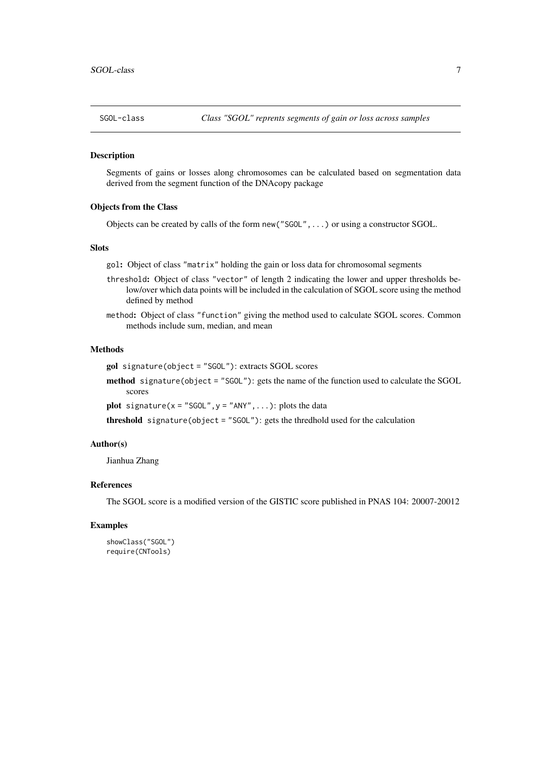<span id="page-6-0"></span>

#### Description

Segments of gains or losses along chromosomes can be calculated based on segmentation data derived from the segment function of the DNAcopy package

#### Objects from the Class

Objects can be created by calls of the form new("SGOL",...) or using a constructor SGOL.

#### **Slots**

gol: Object of class "matrix" holding the gain or loss data for chromosomal segments

- threshold: Object of class "vector" of length 2 indicating the lower and upper thresholds below/over which data points will be included in the calculation of SGOL score using the method defined by method
- method: Object of class "function" giving the method used to calculate SGOL scores. Common methods include sum, median, and mean

#### Methods

gol signature(object = "SGOL"): extracts SGOL scores

method signature(object = "SGOL"): gets the name of the function used to calculate the SGOL scores

**plot** signature( $x =$  "SGOL",  $y =$  "ANY", ...): plots the data

threshold signature(object = "SGOL"): gets the thredhold used for the calculation

#### Author(s)

Jianhua Zhang

#### References

The SGOL score is a modified version of the GISTIC score published in PNAS 104: 20007-20012

#### Examples

```
showClass("SGOL")
require(CNTools)
```